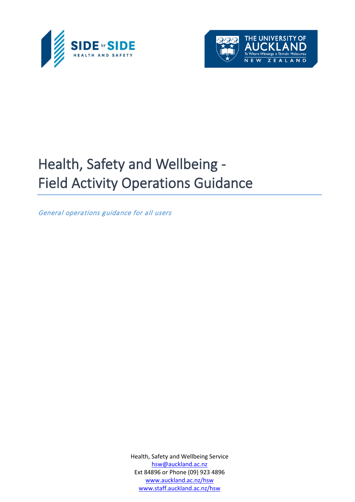



# Health, Safety and Wellbeing - Field Activity Operations Guidance

General operations guidance for all users

Health, Safety and Wellbeing Service [hsw@auckland.ac.nz](mailto:hsw@auckland.ac.nz) Ext 84896 or Phone (09) 923 4896 [www.auckland.ac.nz/hsw](http://www.auckland.ac.nz/hsw) [www.staff.auckland.ac.nz/hsw](http://www.staff.auckland.ac.nz/hsw)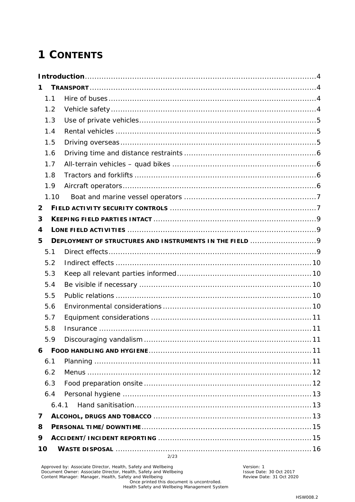# **1 CONTENTS**

| 1              |      |                                                         |  |  |  |  |  |  |
|----------------|------|---------------------------------------------------------|--|--|--|--|--|--|
|                | 1.1  |                                                         |  |  |  |  |  |  |
|                | 1.2  |                                                         |  |  |  |  |  |  |
|                | 1.3  |                                                         |  |  |  |  |  |  |
|                | 1.4  |                                                         |  |  |  |  |  |  |
|                | 1.5  |                                                         |  |  |  |  |  |  |
|                | 1.6  |                                                         |  |  |  |  |  |  |
|                | 1.7  |                                                         |  |  |  |  |  |  |
|                | 1.8  |                                                         |  |  |  |  |  |  |
|                | 1.9  |                                                         |  |  |  |  |  |  |
|                | 1.10 |                                                         |  |  |  |  |  |  |
| $\overline{2}$ |      |                                                         |  |  |  |  |  |  |
| 3              |      |                                                         |  |  |  |  |  |  |
| 4              |      |                                                         |  |  |  |  |  |  |
| 5              |      | DEPLOYMENT OF STRUCTURES AND INSTRUMENTS IN THE FIELD 9 |  |  |  |  |  |  |
|                | 5.1  |                                                         |  |  |  |  |  |  |
|                | 5.2  |                                                         |  |  |  |  |  |  |
|                | 5.3  |                                                         |  |  |  |  |  |  |
|                | 5.4  |                                                         |  |  |  |  |  |  |
|                | 5.5  |                                                         |  |  |  |  |  |  |
|                | 5.6  |                                                         |  |  |  |  |  |  |
|                | 5.7  |                                                         |  |  |  |  |  |  |
|                | 5.8  |                                                         |  |  |  |  |  |  |
|                | 5.9  |                                                         |  |  |  |  |  |  |
| 6              |      |                                                         |  |  |  |  |  |  |
|                | 6.1  |                                                         |  |  |  |  |  |  |
|                | 6.2  |                                                         |  |  |  |  |  |  |
|                | 6.3  |                                                         |  |  |  |  |  |  |
|                | 6.4  |                                                         |  |  |  |  |  |  |
|                |      | 6.4.1                                                   |  |  |  |  |  |  |
| 7              |      |                                                         |  |  |  |  |  |  |
| 8              |      |                                                         |  |  |  |  |  |  |
| 9              |      |                                                         |  |  |  |  |  |  |
| 10             |      | 2/23                                                    |  |  |  |  |  |  |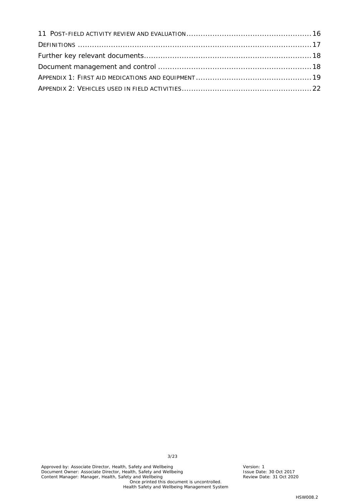3/23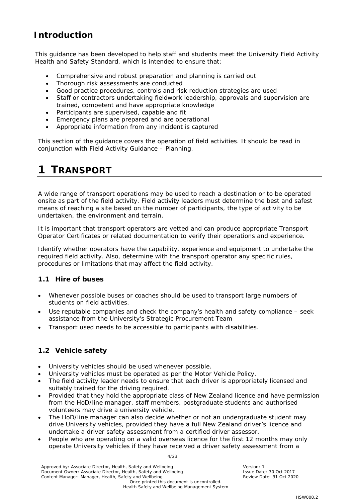## <span id="page-3-0"></span>**Introduction**

This guidance has been developed to help staff and students meet the University Field Activity Health and Safety Standard, which is intended to ensure that:

- Comprehensive and robust preparation and planning is carried out
- Thorough risk assessments are conducted
- Good practice procedures, controls and risk reduction strategies are used
- Staff or contractors undertaking fieldwork leadership, approvals and supervision are trained, competent and have appropriate knowledge
- Participants are supervised, capable and fit
- Emergency plans are prepared and are operational
- Appropriate information from any incident is captured

This section of the guidance covers the operation of field activities. It should be read in conjunction with Field Activity Guidance – Planning.

# <span id="page-3-1"></span>**1 TRANSPORT**

A wide range of transport operations may be used to reach a destination or to be operated onsite as part of the field activity. Field activity leaders must determine the best and safest means of reaching a site based on the number of participants, the type of activity to be undertaken, the environment and terrain.

It is important that transport operators are vetted and can produce appropriate Transport Operator Certificates or related documentation to verify their operations and experience.

Identify whether operators have the capability, experience and equipment to undertake the required field activity. Also, determine with the transport operator any specific rules, procedures or limitations that may affect the field activity.

### <span id="page-3-2"></span>**1.1 Hire of buses**

- Whenever possible buses or coaches should be used to transport large numbers of students on field activities.
- Use reputable companies and check the company's health and safety compliance seek assistance from the University's Strategic Procurement Team
- Transport used needs to be accessible to participants with disabilities.

### <span id="page-3-3"></span>**1.2 Vehicle safety**

- University vehicles should be used whenever possible.
- University vehicles must be operated as per the Motor Vehicle Policy.
- The field activity leader needs to ensure that each driver is appropriately licensed and suitably trained for the driving required.
- Provided that they hold the appropriate class of New Zealand licence and have permission from the HoD/line manager, staff members, postgraduate students and authorised volunteers may drive a university vehicle.
- The HoD/line manager can also decide whether or not an undergraduate student may drive University vehicles, provided they have a full New Zealand driver's licence and undertake a driver safety assessment from a certified driver assessor.
- People who are operating on a valid overseas licence for the first 12 months may only operate University vehicles if they have received a driver safety assessment from a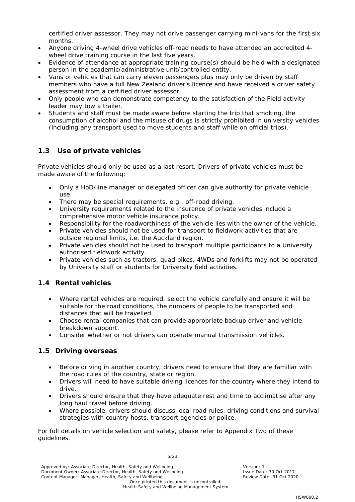certified driver assessor. They may not drive passenger carrying mini-vans for the first six months.

- Anyone driving 4-wheel drive vehicles off-road needs to have attended an accredited 4 wheel drive training course in the last five years.
- Evidence of attendance at appropriate training course(s) should be held with a designated person in the academic/administrative unit/controlled entity.
- Vans or vehicles that can carry eleven passengers plus may only be driven by staff members who have a full New Zealand driver's licence and have received a driver safety assessment from a certified driver assessor.
- Only people who can demonstrate competency to the satisfaction of the Field activity leader may tow a trailer.
- Students and staff must be made aware before starting the trip that smoking, the consumption of alcohol and the misuse of drugs is strictly prohibited in university vehicles (including any transport used to move students and staff while on official trips).

### <span id="page-4-0"></span>**1.3 Use of private vehicles**

Private vehicles should only be used as a last resort. Drivers of private vehicles must be made aware of the following:

- Only a HoD/line manager or delegated officer can give authority for private vehicle use.
- There may be special requirements, e.g., off-road driving.
- University requirements related to the insurance of private vehicles include a comprehensive motor vehicle insurance policy.
- Responsibility for the roadworthiness of the vehicle lies with the owner of the vehicle.
- Private vehicles should not be used for transport to fieldwork activities that are outside regional limits, i.e. the Auckland region.
- Private vehicles should not be used to transport multiple participants to a University authorised fieldwork activity.
- Private vehicles such as tractors, quad bikes, 4WDs and forklifts may not be operated by University staff or students for University field activities.

### <span id="page-4-1"></span>**1.4 Rental vehicles**

- Where rental vehicles are required, select the vehicle carefully and ensure it will be suitable for the road conditions, the numbers of people to be transported and distances that will be travelled.
- Choose rental companies that can provide appropriate backup driver and vehicle breakdown support.
- Consider whether or not drivers can operate manual transmission vehicles.

### <span id="page-4-2"></span>**1.5 Driving overseas**

- Before driving in another country, drivers need to ensure that they are familiar with the road rules of the country, state or region.
- Drivers will need to have suitable driving licences for the country where they intend to drive.
- Drivers should ensure that they have adequate rest and time to acclimatise after any long haul travel before driving.
- Where possible, drivers should discuss local road rules, driving conditions and survival strategies with country hosts, transport agencies or police.

For full details on vehicle selection and safety, please refer to Appendix Two of these guidelines.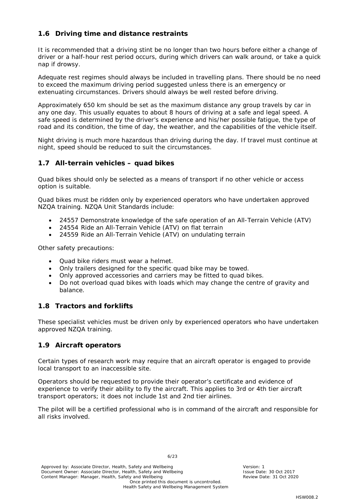### <span id="page-5-0"></span>**1.6 Driving time and distance restraints**

It is recommended that a driving stint be no longer than two hours before either a change of driver or a half-hour rest period occurs, during which drivers can walk around, or take a quick nap if drowsy.

Adequate rest regimes should always be included in travelling plans. There should be no need to exceed the maximum driving period suggested unless there is an emergency or extenuating circumstances. Drivers should always be well rested before driving.

Approximately 650 km should be set as the maximum distance any group travels by car in any one day. This usually equates to about 8 hours of driving at a safe and legal speed. A safe speed is determined by the driver's experience and his/her possible fatigue, the type of road and its condition, the time of day, the weather, and the capabilities of the vehicle itself.

Night driving is much more hazardous than driving during the day. If travel must continue at night, speed should be reduced to suit the circumstances.

#### <span id="page-5-1"></span>**1.7 All-terrain vehicles – quad bikes**

Quad bikes should only be selected as a means of transport if no other vehicle or access option is suitable.

Quad bikes must be ridden only by experienced operators who have undertaken approved NZQA training. NZQA Unit Standards include:

- 24557 Demonstrate knowledge of the safe operation of an All-Terrain Vehicle (ATV)
- 24554 Ride an All-Terrain Vehicle (ATV) on flat terrain
- 24559 Ride an All-Terrain Vehicle (ATV) on undulating terrain

Other safety precautions:

- Quad bike riders must wear a helmet.
- Only trailers designed for the specific quad bike may be towed.
- Only approved accessories and carriers may be fitted to quad bikes.
- Do not overload quad bikes with loads which may change the centre of gravity and balance.

#### <span id="page-5-2"></span>**1.8 Tractors and forklifts**

These specialist vehicles must be driven only by experienced operators who have undertaken approved NZQA training.

#### <span id="page-5-3"></span>**1.9 Aircraft operators**

Certain types of research work may require that an aircraft operator is engaged to provide local transport to an inaccessible site.

Operators should be requested to provide their operator's certificate and evidence of experience to verify their ability to fly the aircraft. This applies to 3rd or 4th tier aircraft transport operators; it does not include 1st and 2nd tier airlines.

The pilot will be a certified professional who is in command of the aircraft and responsible for all risks involved.

6/23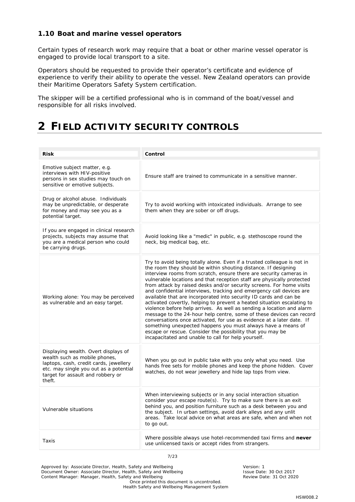#### <span id="page-6-0"></span>**1.10 Boat and marine vessel operators**

Certain types of research work may require that a boat or other marine vessel operator is engaged to provide local transport to a site.

Operators should be requested to provide their operator's certificate and evidence of experience to verify their ability to operate the vessel. New Zealand operators can provide their Maritime Operators Safety System certification.

The skipper will be a certified professional who is in command of the boat/vessel and responsible for all risks involved.

# <span id="page-6-1"></span>**2 FIELD ACTIVITY SECURITY CONTROLS**

| <b>Risk</b>                                                                                                                                                                                              | Control                                                                                                                                                                                                                                                                                                                                                                                                                                                                                                                                                                                                                                                                                                                                                                                                                                                                                                                                                                                                  |
|----------------------------------------------------------------------------------------------------------------------------------------------------------------------------------------------------------|----------------------------------------------------------------------------------------------------------------------------------------------------------------------------------------------------------------------------------------------------------------------------------------------------------------------------------------------------------------------------------------------------------------------------------------------------------------------------------------------------------------------------------------------------------------------------------------------------------------------------------------------------------------------------------------------------------------------------------------------------------------------------------------------------------------------------------------------------------------------------------------------------------------------------------------------------------------------------------------------------------|
| Emotive subject matter, e.g.<br>interviews with HIV-positive<br>persons in sex studies may touch on<br>sensitive or emotive subjects.                                                                    | Ensure staff are trained to communicate in a sensitive manner.                                                                                                                                                                                                                                                                                                                                                                                                                                                                                                                                                                                                                                                                                                                                                                                                                                                                                                                                           |
| Drug or alcohol abuse. Individuals<br>may be unpredictable, or desperate<br>for money and may see you as a<br>potential target.                                                                          | Try to avoid working with intoxicated individuals. Arrange to see<br>them when they are sober or off drugs.                                                                                                                                                                                                                                                                                                                                                                                                                                                                                                                                                                                                                                                                                                                                                                                                                                                                                              |
| If you are engaged in clinical research<br>projects, subjects may assume that<br>you are a medical person who could<br>be carrying drugs.                                                                | Avoid looking like a "medic" in public, e.g. stethoscope round the<br>neck, big medical bag, etc.                                                                                                                                                                                                                                                                                                                                                                                                                                                                                                                                                                                                                                                                                                                                                                                                                                                                                                        |
| Working alone: You may be perceived<br>as vulnerable and an easy target.                                                                                                                                 | Try to avoid being totally alone. Even if a trusted colleague is not in<br>the room they should be within shouting distance. If designing<br>interview rooms from scratch, ensure there are security cameras in<br>vulnerable locations and that reception staff are physically protected<br>from attack by raised desks and/or security screens. For home visits<br>and confidential interviews, tracking and emergency call devices are<br>available that are incorporated into security ID cards and can be<br>activated covertly, helping to prevent a heated situation escalating to<br>violence before help arrives. As well as sending a location and alarm<br>message to the 24-hour help centre, some of these devices can record<br>conversations once activated, for use as evidence at a later date. If<br>something unexpected happens you must always have a means of<br>escape or rescue. Consider the possibility that you may be<br>incapacitated and unable to call for help yourself. |
| Displaying wealth. Overt displays of<br>wealth such as mobile phones,<br>laptops, cash, credit cards, jewellery<br>etc. may single you out as a potential<br>target for assault and robbery or<br>theft. | When you go out in public take with you only what you need. Use<br>hands free sets for mobile phones and keep the phone hidden. Cover<br>watches, do not wear jewellery and hide lap tops from view.                                                                                                                                                                                                                                                                                                                                                                                                                                                                                                                                                                                                                                                                                                                                                                                                     |
| Vulnerable situations                                                                                                                                                                                    | When interviewing subjects or in any social interaction situation<br>consider your escape route(s). Try to make sure there is an exit<br>behind you, and position furniture such as a desk between you and<br>the subject. In urban settings, avoid dark alleys and any unlit<br>areas. Take local advice on what areas are safe, when and when not<br>to go out.                                                                                                                                                                                                                                                                                                                                                                                                                                                                                                                                                                                                                                        |
| Taxis                                                                                                                                                                                                    | Where possible always use hotel-recommended taxi firms and never<br>use unlicensed taxis or accept rides from strangers.                                                                                                                                                                                                                                                                                                                                                                                                                                                                                                                                                                                                                                                                                                                                                                                                                                                                                 |

7/23

Approved by: Associate Director, Health, Safety and Wellbeing Version: 1<br>
Document Owner: Associate Director, Health, Safety and Wellbeing Version: 1 Version: 1 Document Owner: Associate Director, Health, Safety and Wellbeing **Issue Date: 30 Oct 2017**<br>Content Manager: Manager, Health, Safety and Wellbeing **Issue Parameter Content Manager: 31 Oct 2020** Content Manager: Manager, Health, Safety and Wellbeing Once printed this document is uncontrolled. Health Safety and Wellbeing Management System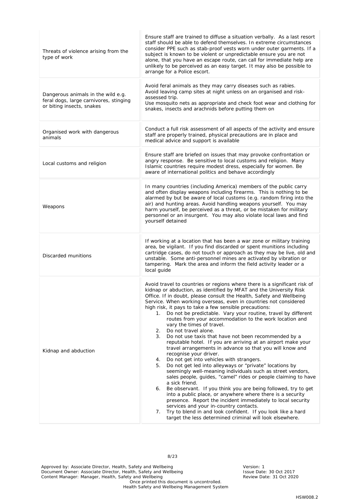| Threats of violence arising from the<br>type of work                                                      | Ensure staff are trained to diffuse a situation verbally. As a last resort<br>staff should be able to defend themselves. In extreme circumstances<br>consider PPE such as stab-proof vests worn under outer garments. If a<br>subject is known to be violent or unpredictable ensure you are not<br>alone, that you have an escape route, can call for immediate help are<br>unlikely to be perceived as an easy target. It may also be possible to<br>arrange for a Police escort.                                                                                                                                                                                                                                                                                                                                                                                                                                                                                                                                                                                                                                                                                                                                                                                                                                                                                                                                        |
|-----------------------------------------------------------------------------------------------------------|----------------------------------------------------------------------------------------------------------------------------------------------------------------------------------------------------------------------------------------------------------------------------------------------------------------------------------------------------------------------------------------------------------------------------------------------------------------------------------------------------------------------------------------------------------------------------------------------------------------------------------------------------------------------------------------------------------------------------------------------------------------------------------------------------------------------------------------------------------------------------------------------------------------------------------------------------------------------------------------------------------------------------------------------------------------------------------------------------------------------------------------------------------------------------------------------------------------------------------------------------------------------------------------------------------------------------------------------------------------------------------------------------------------------------|
| Dangerous animals in the wild e.g.<br>feral dogs, large carnivores, stinging<br>or biting insects, snakes | Avoid feral animals as they may carry diseases such as rabies.<br>Avoid leaving camp sites at night unless on an organised and risk-<br>assessed trip.<br>Use mosquito nets as appropriate and check foot wear and clothing for<br>snakes, insects and arachnids before putting them on                                                                                                                                                                                                                                                                                                                                                                                                                                                                                                                                                                                                                                                                                                                                                                                                                                                                                                                                                                                                                                                                                                                                    |
| Organised work with dangerous<br>animals                                                                  | Conduct a full risk assessment of all aspects of the activity and ensure<br>staff are properly trained, physical precautions are in place and<br>medical advice and support is available                                                                                                                                                                                                                                                                                                                                                                                                                                                                                                                                                                                                                                                                                                                                                                                                                                                                                                                                                                                                                                                                                                                                                                                                                                   |
| Local customs and religion                                                                                | Ensure staff are briefed on issues that may provoke confrontation or<br>angry response. Be sensitive to local customs and religion. Many<br>Islamic countries require modest dress, especially for women. Be<br>aware of international politics and behave accordingly                                                                                                                                                                                                                                                                                                                                                                                                                                                                                                                                                                                                                                                                                                                                                                                                                                                                                                                                                                                                                                                                                                                                                     |
| Weapons                                                                                                   | In many countries (including America) members of the public carry<br>and often display weapons including firearms. This is nothing to be<br>alarmed by but be aware of local customs (e.g. random firing into the<br>air) and hunting areas. Avoid handling weapons yourself. You may<br>harm yourself, be perceived as a threat, or be mistaken for military<br>personnel or an insurgent. You may also violate local laws and find<br>yourself detained                                                                                                                                                                                                                                                                                                                                                                                                                                                                                                                                                                                                                                                                                                                                                                                                                                                                                                                                                                  |
| Discarded munitions                                                                                       | If working at a location that has been a war zone or military training<br>area, be vigilant. If you find discarded or spent munitions including<br>cartridge cases, do not touch or approach as they may be live, old and<br>unstable. Some anti-personnel mines are activated by vibration or<br>tampering. Mark the area and inform the field activity leader or a<br>local quide                                                                                                                                                                                                                                                                                                                                                                                                                                                                                                                                                                                                                                                                                                                                                                                                                                                                                                                                                                                                                                        |
| Kidnap and abduction                                                                                      | Avoid travel to countries or regions where there is a significant risk of<br>kidnap or abduction, as identified by MFAT and the University Risk<br>Office. If in doubt, please consult the Health, Safety and Wellbeing<br>Service. When working overseas, even in countries not considered<br>high risk, it pays to take a few sensible precautions:<br>Do not be predictable. Vary your routine, travel by different<br>1.<br>routes from your accommodation to the work location and<br>vary the times of travel.<br>Do not travel alone.<br>2.<br>3.<br>Do not use taxis that have not been recommended by a<br>reputable hotel. If you are arriving at an airport make your<br>travel arrangements in advance so that you will know and<br>recognise your driver.<br>Do not get into vehicles with strangers.<br>4.<br>Do not get led into alleyways or "private" locations by<br>5.<br>seemingly well-meaning individuals such as street vendors,<br>sales people, quides, "camel" rides or people claiming to have<br>a sick friend.<br>Be observant. If you think you are being followed, try to get<br>6.<br>into a public place, or anywhere where there is a security<br>presence. Report the incident immediately to local security<br>services and your in-country contacts.<br>Try to blend in and look confident. If you look like a hard<br>7.<br>target the less determined criminal will look elsewhere. |

Approved by: Associate Director, Health, Safety and Wellbeing Version: 1 Nersion: 1 Document Owner: Associate Director, Health, Safety and Wellbeing Issue Date: 30 Oct 2017 Content Manager: Manager, Health, Safety and Wellbeing Review Review Date: 31 Oct 2020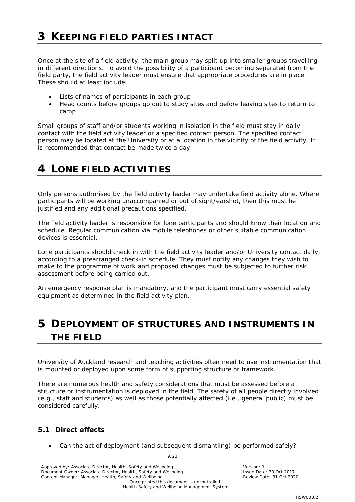<span id="page-8-0"></span>Once at the site of a field activity, the main group may split up into smaller groups travelling in different directions. To avoid the possibility of a participant becoming separated from the field party, the field activity leader must ensure that appropriate procedures are in place. These should *at least* include:

- Lists of names of participants in each group
- Head counts before groups go out to study sites and before leaving sites to return to camp

Small groups of staff and/or students working in isolation in the field must stay in daily contact with the field activity leader or a specified contact person. The specified contact person may be located at the University or at a location in the vicinity of the field activity. It is recommended that contact be made twice a day.

# <span id="page-8-1"></span>**4 LONE FIELD ACTIVITIES**

Only persons authorised by the field activity leader may undertake field activity alone. Where participants will be working unaccompanied or out of sight/earshot, then this must be justified and any additional precautions specified.

The field activity leader is responsible for lone participants and should know their location and schedule. Regular communication via mobile telephones or other suitable communication devices is essential.

Lone participants should check in with the field activity leader and/or University contact daily, according to a prearranged check-in schedule. They must notify any changes they wish to make to the programme of work and proposed changes must be subjected to further risk assessment before being carried out.

An emergency response plan is mandatory, and the participant must carry essential safety equipment as determined in the field activity plan.

# <span id="page-8-2"></span>**5 DEPLOYMENT OF STRUCTURES AND INSTRUMENTS IN THE FIELD**

University of Auckland research and teaching activities often need to use instrumentation that is mounted or deployed upon some form of supporting structure or framework.

There are numerous health and safety considerations that must be assessed before a structure or instrumentation is deployed in the field. The safety of all people directly involved (e.g., staff and students) as well as those potentially affected (i.e., general public) must be considered carefully.

### <span id="page-8-3"></span>**5.1 Direct effects**

• Can the act of deployment (and subsequent dismantling) be performed safely?

Approved by: Associate Director, Health, Safety and Wellbeing Version: 1<br>
Document Owner: Associate Director, Health, Safety and Wellbeing Version: New Version: 1 Saue Date: 30 Oct 2017 Document Owner: Associate Director, Health, Safety and Wellbeing **Issue Date: 30 Oct 2017**<br>Content Manager: Manager, Health, Safety and Wellbeing **Issue Parameter Content Manager: 31 Oct 2020** Content Manager: Manager, Health, Safety and Wellbeing Once printed this document is uncontrolled. Health Safety and Wellbeing Management System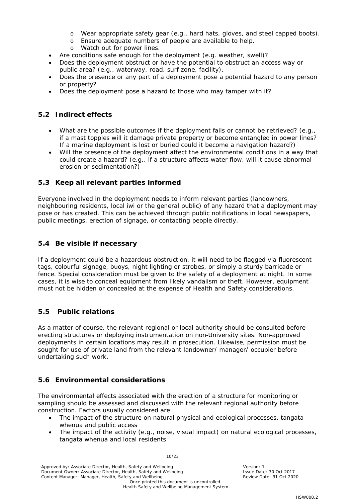- o Wear appropriate safety gear (e.g., hard hats, gloves, and steel capped boots).
- o Ensure adequate numbers of people are available to help.
- o Watch out for power lines.
- Are conditions safe enough for the deployment (e.g. weather, swell)?
- Does the deployment obstruct or have the potential to obstruct an access way or public area? (e.g., waterway, road, surf zone, facility).
- Does the presence or any part of a deployment pose a potential hazard to any person or property?
- Does the deployment pose a hazard to those who may tamper with it?

#### <span id="page-9-0"></span>**5.2 Indirect effects**

- What are the possible outcomes if the deployment fails or cannot be retrieved? (e.g., if a mast topples will it damage private property or become entangled in power lines? If a marine deployment is lost or buried could it become a navigation hazard?)
- Will the presence of the deployment affect the environmental conditions in a way that could create a hazard? (e.g., if a structure affects water flow, will it cause abnormal erosion or sedimentation?)

#### <span id="page-9-1"></span>**5.3 Keep all relevant parties informed**

Everyone involved in the deployment needs to inform relevant parties (landowners, neighbouring residents, local iwi or the general public) of any hazard that a deployment may pose or has created. This can be achieved through public notifications in local newspapers, public meetings, erection of signage, or contacting people directly.

#### <span id="page-9-2"></span>**5.4 Be visible if necessary**

If a deployment could be a hazardous obstruction, it will need to be flagged via fluorescent tags, colourful signage, buoys, night lighting or strobes, or simply a sturdy barricade or fence. Special consideration must be given to the safety of a deployment at night. In some cases, it is wise to conceal equipment from likely vandalism or theft. However, equipment must not be hidden or concealed at the expense of Health and Safety considerations.

### <span id="page-9-3"></span>**5.5 Public relations**

As a matter of course, the relevant regional or local authority should be consulted before erecting structures or deploying instrumentation on non‐University sites. Non‐approved deployments in certain locations may result in prosecution. Likewise, permission must be sought for use of private land from the relevant landowner/ manager/ occupier before undertaking such work.

### <span id="page-9-4"></span>**5.6 Environmental considerations**

The environmental effects associated with the erection of a structure for monitoring or sampling should be assessed and discussed with the relevant regional authority before construction. Factors usually considered are:

- The impact of the structure on natural physical and ecological processes, tangata whenua and public access
- The impact of the activity (e.g., noise, visual impact) on natural ecological processes, tangata whenua and local residents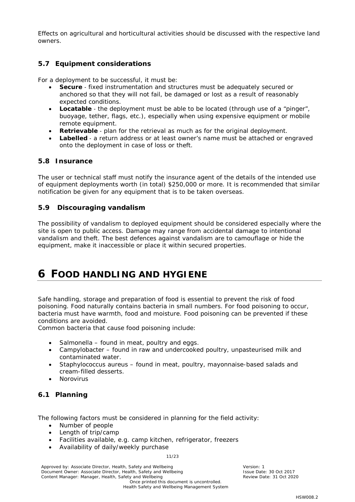Effects on agricultural and horticultural activities should be discussed with the respective land owners.

#### <span id="page-10-0"></span>**5.7 Equipment considerations**

For a deployment to be successful, it must be:

- **Secure** ‐ fixed instrumentation and structures must be adequately secured or anchored so that they will not fail, be damaged or lost as a result of reasonably expected conditions.
- **Locatable** the deployment must be able to be located (through use of a "pinger", buoyage, tether, flags, etc.), especially when using expensive equipment or mobile remote equipment.
- **Retrievable** ‐ plan for the retrieval as much as for the original deployment.
- **Labelled** a return address or at least owner's name must be attached or engraved onto the deployment in case of loss or theft.

#### <span id="page-10-1"></span>**5.8 Insurance**

The user or technical staff must notify the insurance agent of the details of the intended use of equipment deployments worth (in total) \$250,000 or more. It is recommended that similar notification be given for any equipment that is to be taken overseas.

#### <span id="page-10-2"></span>**5.9 Discouraging vandalism**

The possibility of vandalism to deployed equipment should be considered especially where the site is open to public access. Damage may range from accidental damage to intentional vandalism and theft. The best defences against vandalism are to camouflage or hide the equipment, make it inaccessible or place it within secured properties.

# <span id="page-10-3"></span>**6 FOOD HANDLING AND HYGIENE**

Safe handling, storage and preparation of food is essential to prevent the risk of food poisoning. Food naturally contains bacteria in small numbers. For food poisoning to occur, bacteria must have warmth, food and moisture. Food poisoning can be prevented if these conditions are avoided.

Common bacteria that cause food poisoning include:

- Salmonella found in meat, poultry and eggs.
- Campylobacter found in raw and undercooked poultry, unpasteurised milk and contaminated water.
- Staphylococcus aureus found in meat, poultry, mayonnaise-based salads and cream-filled desserts.
- **Norovirus**

#### <span id="page-10-4"></span>**6.1 Planning**

The following factors must be considered in planning for the field activity:

- Number of people
- Length of trip/camp
- Facilities available, e.g. camp kitchen, refrigerator, freezers
- Availability of daily/weekly purchase

11/23

Approved by: Associate Director, Health, Safety and Wellbeing Version: 1<br>
Document Owner: Associate Director, Health, Safety and Wellbeing Version: National Version: 1 Document Owner: Associate Director, Health, Safety and Wellbeing **Issue Date: 30 Oct 2017**<br>Content Manager: Manager, Health, Safety and Wellbeing **Issue Parameter Content Manager: 31 Oct 2020** Content Manager: Manager, Health, Safety and Wellbeing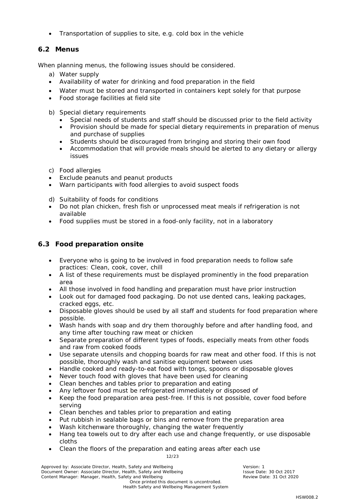• Transportation of supplies to site, e.g. cold box in the vehicle

### <span id="page-11-0"></span>**6.2 Menus**

When planning menus, the following issues should be considered.

- a) Water supply
- Availability of water for drinking and food preparation in the field
- Water must be stored and transported in containers kept solely for that purpose
- Food storage facilities at field site
- b) Special dietary requirements
	- Special needs of students and staff should be discussed prior to the field activity
	- Provision should be made for special dietary requirements in preparation of menus and purchase of supplies
	- Students should be discouraged from bringing and storing their own food
	- Accommodation that will provide meals should be alerted to any dietary or allergy issues
- c) Food allergies
- Exclude peanuts and peanut products
- Warn participants with food allergies to avoid suspect foods
- d) Suitability of foods for conditions
- Do not plan chicken, fresh fish or unprocessed meat meals if refrigeration is not available
- Food supplies must be stored in a food-only facility, not in a laboratory

### <span id="page-11-1"></span>**6.3 Food preparation onsite**

- Everyone who is going to be involved in food preparation needs to follow safe practices: Clean, cook, cover, chill
- A list of these requirements must be displayed prominently in the food preparation area
- All those involved in food handling and preparation must have prior instruction
- Look out for damaged food packaging. Do not use dented cans, leaking packages, cracked eggs, etc.
- Disposable gloves should be used by all staff and students for food preparation where possible.
- Wash hands with soap and dry them thoroughly before and after handling food, and any time after touching raw meat or chicken
- Separate preparation of different types of foods, especially meats from other foods and raw from cooked foods
- Use separate utensils and chopping boards for raw meat and other food. If this is not possible, thoroughly wash and sanitise equipment between uses
- Handle cooked and ready-to-eat food with tongs, spoons or disposable gloves
- Never touch food with gloves that have been used for cleaning
- Clean benches and tables prior to preparation and eating
- Any leftover food must be refrigerated immediately or disposed of
- Keep the food preparation area pest-free. If this is not possible, cover food before serving
- Clean benches and tables prior to preparation and eating
- Put rubbish in sealable bags or bins and remove from the preparation area
- Wash kitchenware thoroughly, changing the water frequently
- Hang tea towels out to dry after each use and change frequently, or use disposable cloths
- Clean the floors of the preparation and eating areas after each use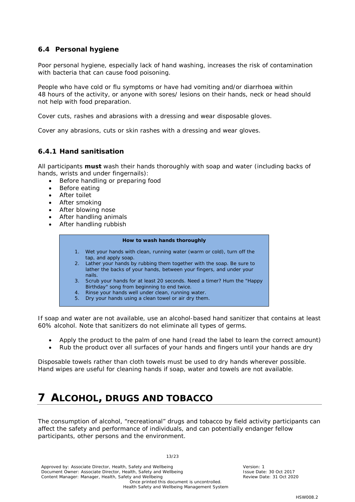#### <span id="page-12-0"></span>**6.4 Personal hygiene**

Poor personal hygiene, especially lack of hand washing, increases the risk of contamination with bacteria that can cause food poisoning.

People who have cold or flu symptoms or have had vomiting and/or diarrhoea within 48 hours of the activity, or anyone with sores/ lesions on their hands, neck or head should not help with food preparation.

Cover cuts, rashes and abrasions with a dressing and wear disposable gloves.

Cover any abrasions, cuts or skin rashes with a dressing and wear gloves.

#### <span id="page-12-1"></span>*6.4.1 Hand sanitisation*

All participants **must** wash their hands thoroughly with soap and water (including backs of hands, wrists and under fingernails):

- Before handling or preparing food
- Before eating
- After toilet
- After smoking
- After blowing nose
- After handling animals
- After handling rubbish

#### **How to wash hands thoroughly**

- 1. Wet your hands with clean, running water (warm or cold), turn off the tap, and apply soap.
- 2. Lather your hands by rubbing them together with the soap. Be sure to lather the backs of your hands, between your fingers, and under your nails.
- 3. Scrub your hands for at least 20 seconds. Need a timer? Hum the "Happy Birthday" song from beginning to end twice.
- 4. Rinse your hands well under clean, running water.
- 5. Dry your hands using a clean towel or air dry them.

If soap and water are not available, use an alcohol-based hand sanitizer that contains at least 60% alcohol. Note that sanitizers do not eliminate all types of germs.

- Apply the product to the palm of one hand (read the label to learn the correct amount)
- Rub the product over all surfaces of your hands and fingers until your hands are dry

Disposable towels rather than cloth towels must be used to dry hands wherever possible. Hand wipes are useful for cleaning hands if soap, water and towels are not available.

# <span id="page-12-2"></span>**7 ALCOHOL, DRUGS AND TOBACCO**

The consumption of alcohol, "recreational" drugs and tobacco by field activity participants can affect the safety and performance of individuals, and can potentially endanger fellow participants, other persons and the environment.

13/23

Approved by: Associate Director, Health, Safety and Wellbeing Version: 1<br>
Document Owner: Associate Director, Health, Safety and Wellbeing Version: 1 Version: 1 Document Owner: Associate Director, Health, Safety and Wellbeing **Issue Date: 30 Oct 2017**<br>Content Manager: Manager, Health, Safety and Wellbeing **Issue Parameter Content Manager: 31 Oct 2020** Content Manager: Manager, Health, Safety and Wellbeing Once printed this document is uncontrolled. Health Safety and Wellbeing Management System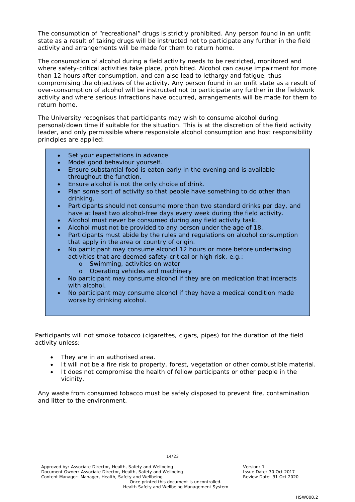The consumption of "recreational" drugs is strictly prohibited. Any person found in an unfit state as a result of taking drugs will be instructed not to participate any further in the field activity and arrangements will be made for them to return home.

The consumption of alcohol during a field activity needs to be restricted, monitored and where safety-critical activities take place, prohibited. Alcohol can cause impairment for more than 12 hours after consumption, and can also lead to lethargy and fatigue, thus compromising the objectives of the activity. Any person found in an unfit state as a result of over-consumption of alcohol will be instructed not to participate any further in the fieldwork activity and where serious infractions have occurred, arrangements will be made for them to return home.

The University recognises that participants may wish to consume alcohol during personal/down time if suitable for the situation. This is at the discretion of the field activity leader, and only permissible where responsible alcohol consumption and host responsibility principles are applied:

- Set your expectations in advance.
- Model good behaviour yourself.
- Ensure substantial food is eaten early in the evening and is available throughout the function.
- Ensure alcohol is not the only choice of drink.
- Plan some sort of activity so that people have something to do other than drinking.
- Participants should not consume more than two standard drinks per day, and have at least two alcohol-free days every week during the field activity.
- Alcohol must never be consumed during any field activity task.
- Alcohol must not be provided to any person under the age of 18.
- Participants must abide by the rules and regulations on alcohol consumption that apply in the area or country of origin.
- No participant may consume alcohol 12 hours or more before undertaking activities that are deemed safety-critical or high risk, e.g.:
	- o Swimming, activities on water<br>
	o Operating vehicles and maching
	- Operating vehicles and machinery
- No participant may consume alcohol if they are on medication that interacts with alcohol.
- No participant may consume alcohol if they have a medical condition made worse by drinking alcohol.

Participants will not smoke tobacco (cigarettes, cigars, pipes) for the duration of the field activity unless:

- They are in an authorised area.
- It will not be a fire risk to property, forest, vegetation or other combustible material.
- It does not compromise the health of fellow participants or other people in the vicinity.

Any waste from consumed tobacco must be safely disposed to prevent fire, contamination and litter to the environment.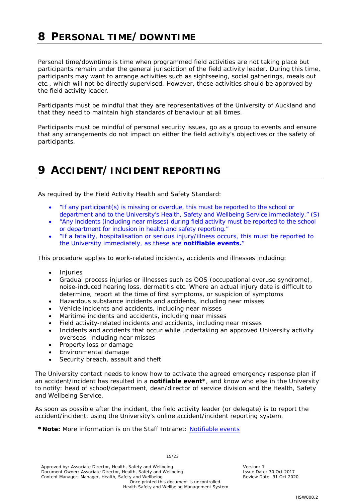# <span id="page-14-0"></span>**8 PERSONAL TIME/DOWNTIME**

Personal time/downtime is time when programmed field activities are not taking place but participants remain under the general jurisdiction of the field activity leader. During this time, participants may want to arrange activities such as sightseeing, social gatherings, meals out etc., which will not be directly supervised. However, these activities should be approved by the field activity leader.

Participants must be mindful that they are representatives of the University of Auckland and that they need to maintain high standards of behaviour at all times.

Participants must be mindful of personal security issues, go as a group to events and ensure that any arrangements do not impact on either the field activity's objectives or the safety of participants.

# <span id="page-14-1"></span>**9 ACCIDENT/INCIDENT REPORTING**

As required by the Field Activity Health and Safety Standard:

- "If any participant(s) is missing or overdue, this must be reported to the school or department and to the University's Health, Safety and Wellbeing Service immediately." (S)
- "Any incidents (including near misses) during field activity must be reported to the school or department for inclusion in health and safety reporting."
- "If a fatality, hospitalisation or serious injury/illness occurs, this must be reported to the University immediately, as these are **notifiable events.**"

This procedure applies to work-related incidents, accidents and illnesses including:

- Injuries
- Gradual process injuries or illnesses such as OOS (occupational overuse syndrome), noise-induced hearing loss, dermatitis etc. Where an actual injury date is difficult to determine, report at the time of first symptoms, or suspicion of symptoms
- Hazardous substance incidents and accidents, including near misses
- Vehicle incidents and accidents, including near misses
- Maritime incidents and accidents, including near misses
- Field activity-related incidents and accidents, including near misses
- Incidents and accidents that occur while undertaking an approved University activity overseas, including near misses
- Property loss or damage
- Environmental damage
- Security breach, assault and theft

The University contact needs to know how to activate the agreed emergency response plan if an accident/incident has resulted in a **notifiable event**\*, and know who else in the University to notify: head of school/department, dean/director of service division and the Health, Safety and Wellbeing Service.

As soon as possible after the incident, the field activity leader (or delegate) is to report the accident/incident, using the University's online accident/incident reporting system.

#### **\*Note:** More information is on the Staff Intranet: [Notifiable events](https://www.staff.auckland.ac.nz/en/human-resources/health-safety-and-wellbeing/accident-reporting-and-investigation/definitions-of-serious-harm1.html)

Approved by: Associate Director, Health, Safety and Wellbeing Version: 1<br>
Document Owner: Associate Director, Health, Safety and Wellbeing Version: 1 Version: 1 Document Owner: Associate Director, Health, Safety and Wellbeing **Issue Date: 30 Oct 2017**<br>Content Manager: Manager, Health, Safety and Wellbeing **Issue Parameter Content Manager: 31 Oct 2020** Content Manager: Manager, Health, Safety and Wellbeing Once printed this document is uncontrolled.

15/23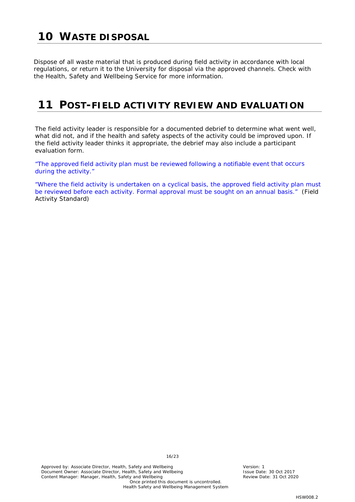# <span id="page-15-0"></span>**10 WASTE DISPOSAL**

Dispose of all waste material that is produced during field activity in accordance with local regulations, or return it to the University for disposal via the approved channels. Check with the Health, Safety and Wellbeing Service for more information.

# <span id="page-15-1"></span>**11 POST-FIELD ACTIVITY REVIEW AND EVALUATION**

The field activity leader is responsible for a documented debrief to determine what went well, what did not, and if the health and safety aspects of the activity could be improved upon. If the field activity leader thinks it appropriate, the debrief may also include a participant evaluation form.

"The approved field activity plan must be reviewed following a notifiable event that occurs during the activity."

"Where the field activity is undertaken on a cyclical basis, the approved field activity plan must be reviewed before each activity. Formal approval must be sought on an annual basis." (Field Activity Standard)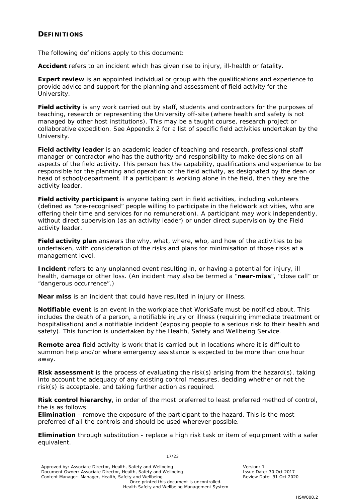#### <span id="page-16-0"></span>**DEFINITIONS**

The following definitions apply to this document:

**Accident** refers to an incident which has given rise to injury, ill-health or fatality.

**Expert review** is an appointed individual or group with the qualifications and experience to provide advice and support for the planning and assessment of field activity for the University.

**Field activity** is any work carried out by staff, students and contractors for the purposes of teaching, research or representing the University off-site (where health and safety is not managed by other host institutions). This may be a taught course, research project or collaborative expedition. See Appendix 2 for a list of specific field activities undertaken by the University.

**Field activity leader** is an academic leader of teaching and research, professional staff manager or contractor who has the authority and responsibility to make decisions on all aspects of the field activity. This person has the capability, qualifications and experience to be responsible for the planning and operation of the field activity, as designated by the dean or head of school/department. If a participant is working alone in the field, then they are the activity leader.

**Field activity participant** is anyone taking part in field activities, including volunteers (defined as "pre-recognised" people willing to participate in the fieldwork activities, who are offering their time and services for no remuneration). A participant may work independently, without direct supervision (as an activity leader) or under direct supervision by the Field activity leader.

**Field activity plan** answers the why, what, where, who, and how of the activities to be undertaken, with consideration of the risks and plans for minimisation of those risks at a management level.

**Incident** refers to any unplanned event resulting in, or having a potential for injury, ill health, damage or other loss. (An incident may also be termed a "**near-miss**", "close call" or "dangerous occurrence".)

**Near miss** is an incident that could have resulted in injury or illness.

**Notifiable event** is an event in the workplace that WorkSafe must be notified about. This includes the death of a person, a notifiable injury or illness (requiring immediate treatment or hospitalisation) and a notifiable incident (exposing people to a serious risk to their health and safety). This function is undertaken by the Health, Safety and Wellbeing Service.

**Remote area** field activity is work that is carried out in locations where it is difficult to summon help and/or where emergency assistance is expected to be more than one hour away.

**Risk assessment** is the process of evaluating the risk(s) arising from the hazard(s), taking into account the adequacy of any existing control measures, deciding whether or not the risk(s) is acceptable, and taking further action as required.

**Risk control hierarchy**, in order of the most preferred to least preferred method of control, the is as follows:

**Elimination** - remove the exposure of the participant to the hazard. This is the most preferred of all the controls and should be used wherever possible.

**Elimination** through substitution - replace a high risk task or item of equipment with a safer equivalent.

17/23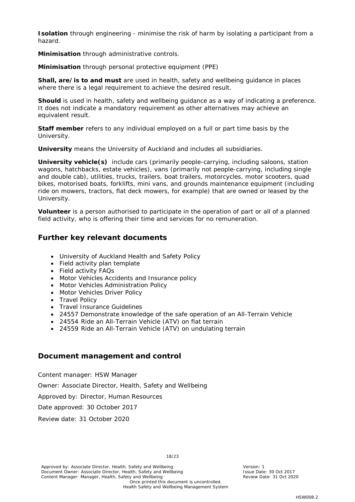**Isolation** through engineering - minimise the risk of harm by isolating a participant from a hazard.

**Minimisation** through administrative controls.

**Minimisation** through personal protective equipment (PPE)

**Shall, are/is to and must** are used in health, safety and wellbeing guidance in places where there is a legal requirement to achieve the desired result.

**Should** is used in health, safety and wellbeing guidance as a way of indicating a preference. It does not indicate a mandatory requirement as other alternatives may achieve an equivalent result.

**Staff member** refers to any individual employed on a full or part time basis by the University.

**University** means the University of Auckland and includes all subsidiaries.

**University vehicle(s)** include cars (primarily people-carrying, including saloons, station wagons, hatchbacks, estate vehicles), vans (primarily not people-carrying, including single and double cab), utilities, trucks, trailers, boat trailers, motorcycles, motor scooters, quad bikes, motorised boats, forklifts, mini vans, and grounds maintenance equipment (including ride on mowers, tractors, flat deck mowers, for example) that are owned or leased by the University.

**Volunteer** is a person authorised to participate in the operation of part or all of a planned field activity, who is offering their time and services for no remuneration.

### <span id="page-17-0"></span>**Further key relevant documents**

- University of Auckland Health and Safety Policy
- Field activity plan template
- Field activity FAQs
- Motor Vehicles Accidents and Insurance policy
- Motor Vehicles Administration Policy
- Motor Vehicles Driver Policy
- Travel Policy
- Travel Insurance Guidelines
- 24557 Demonstrate knowledge of the safe operation of an All-Terrain Vehicle

18/23

Health Safety and Wellbeing Management System

- 24554 Ride an All-Terrain Vehicle (ATV) on flat terrain
- 24559 Ride an All-Terrain Vehicle (ATV) on undulating terrain

### <span id="page-17-1"></span>**Document management and control**

Content manager: HSW Manager

Owner: Associate Director, Health, Safety and Wellbeing

Approved by: Director, Human Resources

Date approved: 30 October 2017

Review date: 31 October 2020

Approved by: Associate Director, Health, Safety and Wellbeing Version: 1<br>
Document Owner: Associate Director, Health, Safety and Wellbeing Version: 1 Sisue Date: 30 Oct 2017 Document Owner: Associate Director, Health, Safety and Wellbeing **Issue Date: 30 Oct 2017**<br>Content Manager: Manager, Health, Safety and Wellbeing **Issue Parameter Content Manager: 31 Oct 2020** Content Manager: Manager, Health, Safety and Wellbeing Once printed this document is uncontrolled.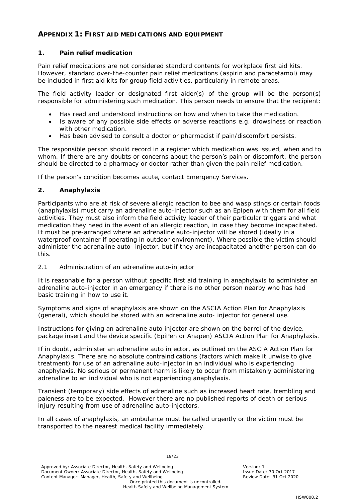#### <span id="page-18-0"></span>**APPENDIX 1: FIRST AID MEDICATIONS AND EQUIPMENT**

#### *1. Pain relief medication*

Pain relief medications are not considered standard contents for workplace first aid kits. However, standard over-the-counter pain relief medications (aspirin and paracetamol) may be included in first aid kits for group field activities, particularly in remote areas.

The field activity leader or designated first aider(s) of the group will be the person(s) responsible for administering such medication. This person needs to ensure that the recipient:

- Has read and understood instructions on how and when to take the medication.
- Is aware of any possible side effects or adverse reactions e.g. drowsiness or reaction with other medication.
- Has been advised to consult a doctor or pharmacist if pain/discomfort persists.

The responsible person should record in a register which medication was issued, when and to whom. If there are any doubts or concerns about the person's pain or discomfort, the person should be directed to a pharmacy or doctor rather than given the pain relief medication.

If the person's condition becomes acute, contact Emergency Services.

#### *2. Anaphylaxis*

Participants who are at risk of severe allergic reaction to bee and wasp stings or certain foods (anaphylaxis) must carry an adrenaline auto-injector such as an Epipen with them for all field activities. They must also inform the field activity leader of their particular triggers and what medication they need in the event of an allergic reaction, in case they become incapacitated. It must be pre-arranged where an adrenaline auto-injector will be stored (ideally in a waterproof container if operating in outdoor environment). Where possible the victim should administer the adrenaline auto- injector, but if they are incapacitated another person can do this.

#### *2.1 Administration of an adrenaline auto-injector*

It is reasonable for a person without specific first aid training in anaphylaxis to administer an adrenaline auto-injector in an emergency if there is no other person nearby who has had basic training in how to use it.

Symptoms and signs of anaphylaxis are shown on the ASCIA Action Plan for Anaphylaxis (general), which should be stored with an adrenaline auto- injector for general use.

Instructions for giving an adrenaline auto injector are shown on the barrel of the device, package insert and the device specific (EpiPen or Anapen) ASCIA Action Plan for Anaphylaxis.

If in doubt, administer an adrenaline auto injector, as outlined on the ASCIA Action Plan for Anaphylaxis. There are no absolute contraindications (factors which make it unwise to give treatment) for use of an adrenaline auto-injector in an individual who is experiencing anaphylaxis. No serious or permanent harm is likely to occur from mistakenly administering adrenaline to an individual who is not experiencing anaphylaxis.

Transient (temporary) side effects of adrenaline such as increased heart rate, trembling and paleness are to be expected. However there are no published reports of death or serious injury resulting from use of adrenaline auto-injectors.

In all cases of anaphylaxis, an ambulance must be called urgently or the victim must be transported to the nearest medical facility immediately.

Approved by: Associate Director, Health, Safety and Wellbeing Version: 1<br>
Document Owner: Associate Director, Health, Safety and Wellbeing Version: 1 Version: 1 Document Owner: Associate Director, Health, Safety and Wellbeing **Issue Date: 30 Oct 2017**<br>Content Manager: Manager, Health, Safety and Wellbeing **Issue Parameter Content Manager: 31 Oct 2020** Content Manager: Manager, Health, Safety and Wellbeing Once printed this document is uncontrolled. Health Safety and Wellbeing Management System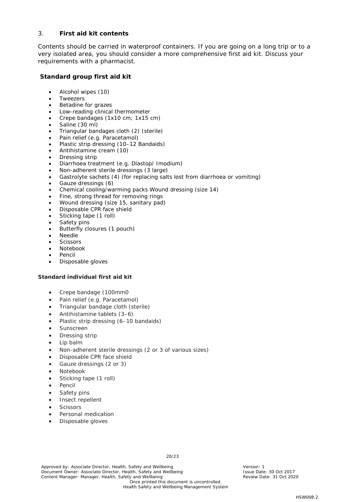#### 3. *First aid kit contents*

Contents should be carried in waterproof containers. If you are going on a long trip or to a very isolated area, you should consider a more comprehensive first aid kit. Discuss your requirements with a pharmacist.

#### **Standard group first aid kit**

- Alcohol wipes (10)
- **Tweezers**
- Betadine for grazes
- Low-reading clinical thermometer
- Crepe bandages (1x10 cm; 1x15 cm)
- Saline (30 ml)
- Triangular bandages cloth (2) (sterile)
- Pain relief (e.g. Paracetamol)
- Plastic strip dressing (10–12 Bandaids)
- Antihistamine cream (10)
- Dressing strip
- Diarrhoea treatment (e.g. Diastop/ Imodium)
- Non-adherent sterile dressings (3 large)
- Gastrolyte sachets (4) (for replacing salts lost from diarrhoea or vomiting)
- Gauze dressings (6)
- Chemical cooling/warming packs Wound dressing (size 14)
- Fine, strong thread for removing rings
- Wound dressing (size 15, sanitary pad)
- Disposable CPR face shield
- Sticking tape (1 roll)
- Safety pins
- Butterfly closures (1 pouch)
- Needle
- **Scissors**
- Notebook
- Pencil
- Disposable gloves

#### **Standard individual first aid kit**

- Crepe bandage (100mm0
- Pain relief (e.g. Paracetamol)
- Triangular bandage cloth (sterile)
- Antihistamine tablets (3–6)
- Plastic strip dressing (6-10 bandaids)
- **Sunscreen**
- Dressing strip
- Lip balm
- Non-adherent sterile dressings (2 or 3 of various sizes)
- Disposable CPR face shield
- Gauze dressings (2 or 3)
- Notebook
- Sticking tape (1 roll)
- **Pencil**
- Safety pins
- Insect repellent
- **Scissors**
- Personal medication
- Disposable gloves

Approved by: Associate Director, Health, Safety and Wellbeing Version: 1<br>
Document Owner: Associate Director, Health, Safety and Wellbeing Version: 1 Sisue Date: 30 Oct 2017 Document Owner: Associate Director, Health, Safety and Wellbeing **Issue Date: 30 Oct 2017**<br>Content Manager: Manager, Health, Safety and Wellbeing **Issue Parameter Content Manager: 31 Oct 2020** Content Manager: Manager, Health, Safety and Wellbeing Once printed this document is uncontrolled.

20/23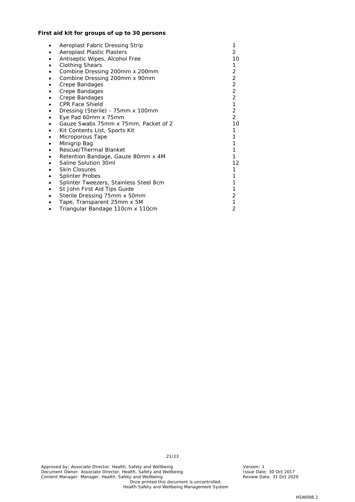#### **First aid kit for groups of up to 30 persons**

|   | Aeroplast Fabric Dressing Strip        |                |
|---|----------------------------------------|----------------|
|   | Aeroplast Plastic Plasters             | $\overline{2}$ |
|   | Antiseptic Wipes, Alcohol Free         | 10             |
| ٠ | <b>Clothing Shears</b>                 | 1              |
|   | Combine Dressing 200mm x 200mm         | $\overline{c}$ |
|   | Combine Dressing 200mm x 90mm          | $\overline{c}$ |
|   | Crepe Bandages                         | $\overline{a}$ |
|   | Crepe Bandages                         |                |
|   | Crepe Bandages                         | $\frac{2}{2}$  |
|   | <b>CPR Face Shield</b>                 | $\overline{1}$ |
| ٠ | Dressing (Sterile) - 75mm x 100mm      | $\overline{2}$ |
|   | Eye Pad 60mm x 75mm                    | $\overline{2}$ |
|   | Gauze Swabs 75mm x 75mm, Packet of 2   | 10             |
|   | Kit Contents List, Sports Kit          | 1              |
|   | Microporous Tape                       |                |
|   | Minigrip Bag                           |                |
|   | Rescue/Thermal Blanket                 |                |
|   | Retention Bandage, Gauze 80mm x 4M     |                |
|   | Saline Solution 30ml                   | 12             |
|   | <b>Skin Closures</b>                   | 1              |
|   | <b>Splinter Probes</b>                 |                |
|   | Splinter Tweezers, Stainless Steel 8cm |                |
|   | St John First Aid Tips Guide           |                |
|   | Sterile Dressing 75mm x 50mm           | 2              |
|   | Tape, Transparent 25mm x 5M            | 1              |
|   | Triangular Bandage 110cm x 110cm       | 2              |

21/23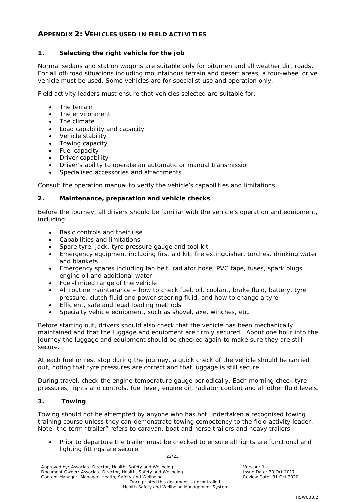#### <span id="page-21-0"></span>**APPENDIX 2: VEHICLES USED IN FIELD ACTIVITIES**

#### *1. Selecting the right vehicle for the job*

Normal sedans and station wagons are suitable only for bitumen and all weather dirt roads. For all off-road situations including mountainous terrain and desert areas, a four-wheel drive vehicle must be used. Some vehicles are for specialist use and operation only.

Field activity leaders must ensure that vehicles selected are suitable for:

- The terrain
- The environment
- The climate
- Load capability and capacity
- Vehicle stability
- Towing capacity
- Fuel capacity
- Driver capability
- Driver's ability to operate an automatic or manual transmission
- Specialised accessories and attachments

Consult the operation manual to verify the vehicle's capabilities and limitations.

#### *2. Maintenance, preparation and vehicle checks*

Before the journey, all drivers should be familiar with the vehicle's operation and equipment, including:

- Basic controls and their use
- Capabilities and limitations
- Spare tyre, jack, tyre pressure gauge and tool kit
- Emergency equipment including first aid kit, fire extinguisher, torches, drinking water and blankets
- Emergency spares including fan belt, radiator hose, PVC tape, fuses, spark plugs, engine oil and additional water
- Fuel-limited range of the vehicle
- All routine maintenance how to check fuel, oil, coolant, brake fluid, battery, tyre pressure, clutch fluid and power steering fluid, and how to change a tyre
- Efficient, safe and legal loading methods
- Specialty vehicle equipment, such as shovel, axe, winches, etc.

Before starting out, drivers should also check that the vehicle has been mechanically maintained and that the luggage and equipment are firmly secured. About one hour into the journey the luggage and equipment should be checked again to make sure they are still secure.

At each fuel or rest stop during the journey, a quick check of the vehicle should be carried out, noting that tyre pressures are correct and that luggage is still secure.

During travel, check the engine temperature gauge periodically. Each morning check tyre pressures, lights and controls, fuel level, engine oil, radiator coolant and all other fluid levels.

#### *3. Towing*

Towing should not be attempted by anyone who has not undertaken a recognised towing training course unless they can demonstrate towing competency to the field activity leader. Note: the term "trailer" refers to caravan, boat and horse trailers and heavy trailers.

• Prior to departure the trailer must be checked to ensure all lights are functional and lighting fittings are secure.

22/23

Approved by: Associate Director, Health, Safety and Wellbeing Version: 1<br>
Document Owner: Associate Director, Health, Safety and Wellbeing Version: 1 Version: 1 Document Owner: Associate Director, Health, Safety and Wellbeing **Issue Date: 30 Oct 2017**<br>Content Manager: Manager, Health, Safety and Wellbeing **Issue Parameter Content Manager: 31 Oct 2020** Content Manager: Manager, Health, Safety and Wellbeing Once printed this document is uncontrolled. Health Safety and Wellbeing Management System